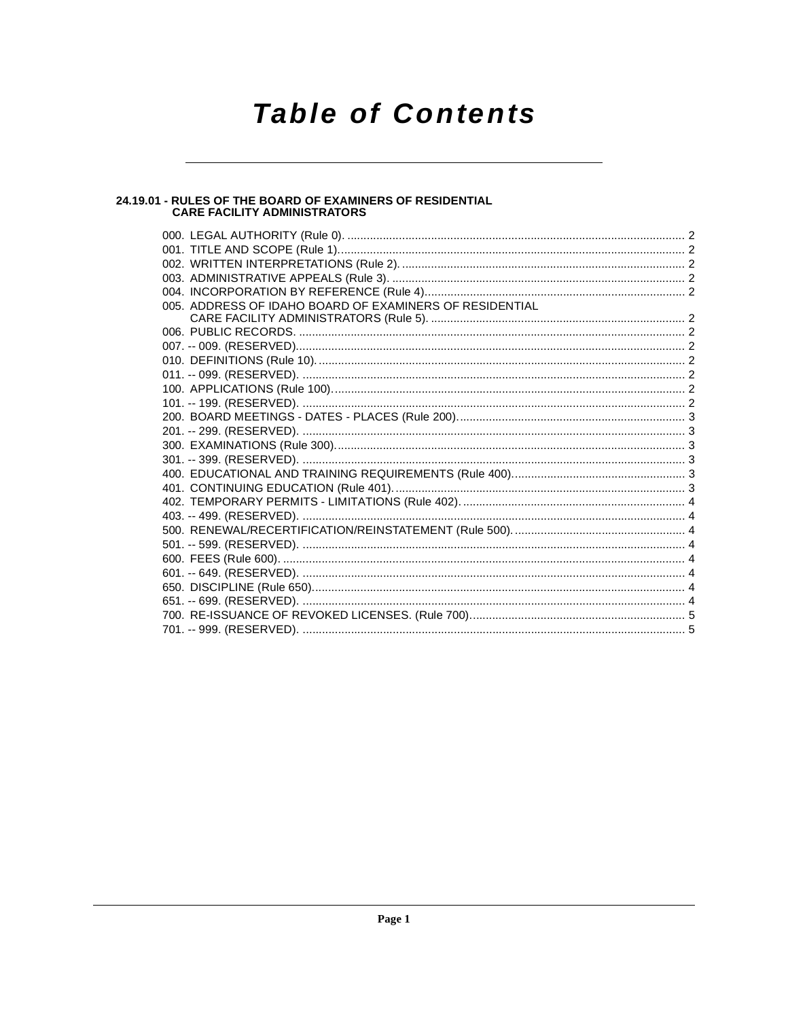# **Table of Contents**

# 24.19.01 - RULES OF THE BOARD OF EXAMINERS OF RESIDENTIAL<br>CARE FACILITY ADMINISTRATORS

| 005. ADDRESS OF IDAHO BOARD OF EXAMINERS OF RESIDENTIAL |  |
|---------------------------------------------------------|--|
|                                                         |  |
|                                                         |  |
|                                                         |  |
|                                                         |  |
|                                                         |  |
|                                                         |  |
|                                                         |  |
|                                                         |  |
|                                                         |  |
|                                                         |  |
|                                                         |  |
|                                                         |  |
|                                                         |  |
|                                                         |  |
|                                                         |  |
|                                                         |  |
|                                                         |  |
|                                                         |  |
|                                                         |  |
|                                                         |  |
|                                                         |  |
|                                                         |  |
|                                                         |  |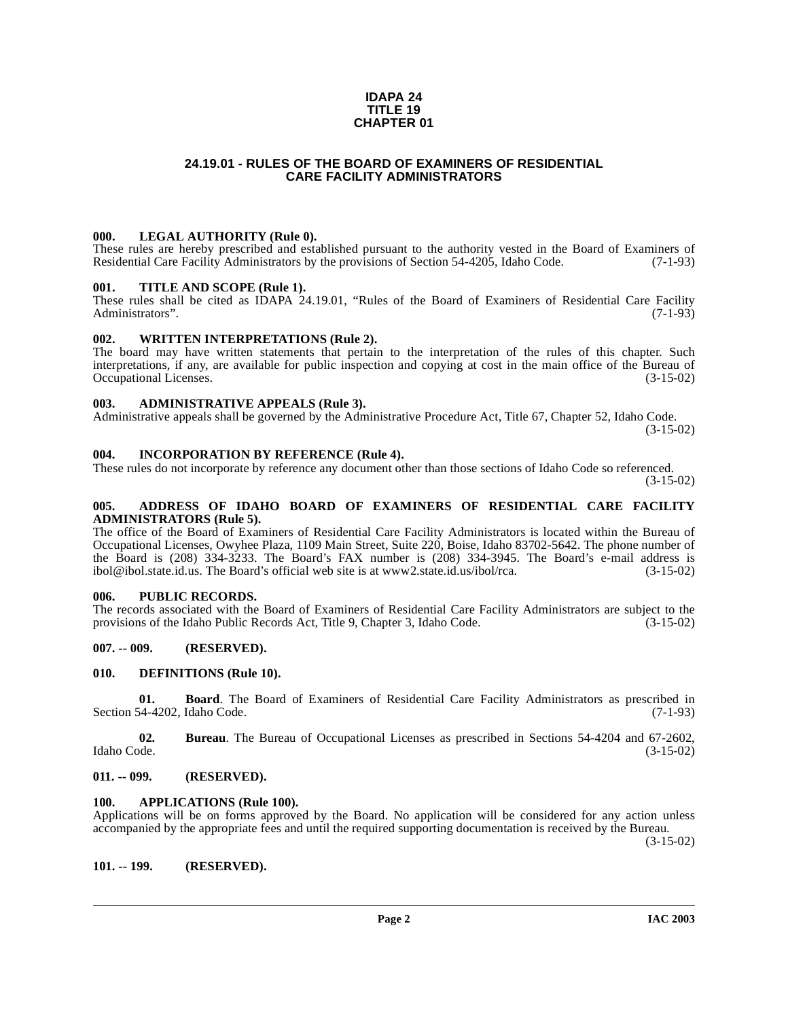#### **IDAPA 24 TITLE 19 CHAPTER 01**

# **24.19.01 - RULES OF THE BOARD OF EXAMINERS OF RESIDENTIAL CARE FACILITY ADMINISTRATORS**

### <span id="page-1-1"></span><span id="page-1-0"></span>**000. LEGAL AUTHORITY (Rule 0).**

These rules are hereby prescribed and established pursuant to the authority vested in the Board of Examiners of Residential Care Facility Administrators by the provisions of Section 54-4205. Idaho Code. (7-1-93) Residential Care Facility Administrators by the provisions of Section 54-4205, Idaho Code.

#### <span id="page-1-2"></span>**001. TITLE AND SCOPE (Rule 1).**

These rules shall be cited as IDAPA 24.19.01, "Rules of the Board of Examiners of Residential Care Facility Administrators". (7-1-93) Administrators".

#### <span id="page-1-15"></span><span id="page-1-3"></span>**002. WRITTEN INTERPRETATIONS (Rule 2).**

The board may have written statements that pertain to the interpretation of the rules of this chapter. Such interpretations, if any, are available for public inspection and copying at cost in the main office of the Bureau of Occupational Licenses. (3-15-02) Occupational Licenses.

#### <span id="page-1-4"></span>**003. ADMINISTRATIVE APPEALS (Rule 3).**

Administrative appeals shall be governed by the Administrative Procedure Act, Title 67, Chapter 52, Idaho Code.

(3-15-02)

#### <span id="page-1-5"></span>**004. INCORPORATION BY REFERENCE (Rule 4).**

These rules do not incorporate by reference any document other than those sections of Idaho Code so referenced.

(3-15-02)

#### <span id="page-1-6"></span>**005. ADDRESS OF IDAHO BOARD OF EXAMINERS OF RESIDENTIAL CARE FACILITY ADMINISTRATORS (Rule 5).**

[The office of the Board of Examiners of Residential Care Facility Administrators is located within the Bureau of](http://www2.state.id.us/ibol/rca) Occupational Licenses, Owyhee Plaza, 1109 Main Street, Suite 220, Boise, Idaho 83702-5642. The phone number of the Board is (208) 334-3233. The Board's FAX number is (208) 334-3945. The Board's e-mail address is ibol@ibol.state.id.us. The Board's official web site is at www.2.state.id.us/ibol/rca. (3-15-02)  $\text{ibol@ibol.}$ state.id.us. The Board's official web site is at www2.state.id.us/ibol/rca.

### <span id="page-1-7"></span>**006. PUBLIC RECORDS.**

The records associated with the Board of Examiners of Residential Care Facility Administrators are subject to the provisions of the Idaho Public Records Act, Title 9, Chapter 3, Idaho Code. (3-15-02) provisions of the Idaho Public Records Act, Title 9, Chapter 3, Idaho Code.

### <span id="page-1-8"></span>**007. -- 009. (RESERVED).**

#### <span id="page-1-14"></span><span id="page-1-9"></span>**010. DEFINITIONS (Rule 10).**

**01. Board**. The Board of Examiners of Residential Care Facility Administrators as prescribed in  $(7-1-93)$ Section 54-4202, Idaho Code.

**02.** Bureau. The Bureau of Occupational Licenses as prescribed in Sections 54-4204 and 67-2602, Idaho Code. (3-15-02) Idaho Code. (3-15-02)

#### <span id="page-1-10"></span>**011. -- 099. (RESERVED).**

#### <span id="page-1-13"></span><span id="page-1-11"></span>**100. APPLICATIONS (Rule 100).**

Applications will be on forms approved by the Board. No application will be considered for any action unless accompanied by the appropriate fees and until the required supporting documentation is received by the Bureau.

(3-15-02)

<span id="page-1-12"></span>**101. -- 199. (RESERVED).**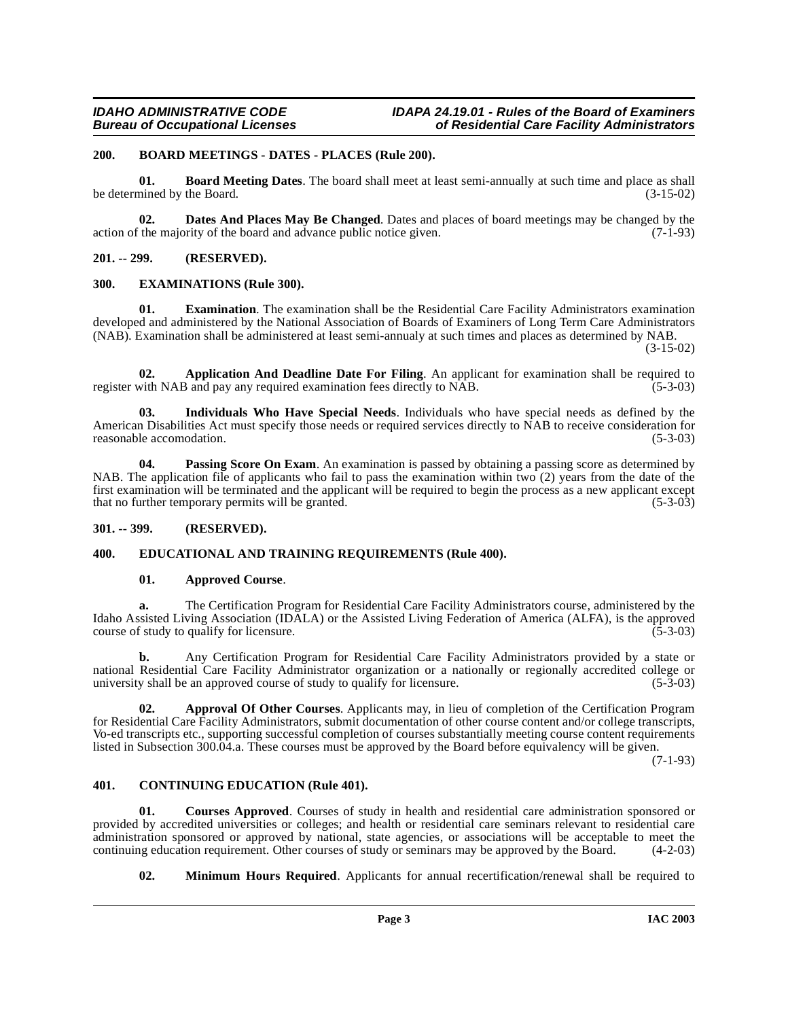## <span id="page-2-10"></span><span id="page-2-0"></span>**200. BOARD MEETINGS - DATES - PLACES (Rule 200).**

<span id="page-2-9"></span>**01. Board Meeting Dates**. The board shall meet at least semi-annually at such time and place as shall be determined by the Board. (3-15-02)

<span id="page-2-13"></span>**02. Dates And Places May Be Changed**. Dates and places of board meetings may be changed by the interval in the majority of the board and advance public notice given. action of the majority of the board and advance public notice given.

## <span id="page-2-1"></span>**201. -- 299. (RESERVED).**

### <span id="page-2-15"></span><span id="page-2-2"></span>**300. EXAMINATIONS (Rule 300).**

**01. Examination**. The examination shall be the Residential Care Facility Administrators examination developed and administered by the National Association of Boards of Examiners of Long Term Care Administrators (NAB). Examination shall be administered at least semi-annualy at such times and places as determined by NAB.

(3-15-02)

<span id="page-2-6"></span>**02. Application And Deadline Date For Filing**. An applicant for examination shall be required to register with NAB and pay any required examination fees directly to NAB. (5-3-03)

<span id="page-2-16"></span>**03. Individuals Who Have Special Needs**. Individuals who have special needs as defined by the American Disabilities Act must specify those needs or required services directly to NAB to receive consideration for reasonable accomodation. (5-3-03) reasonable accomodation.

<span id="page-2-17"></span>**04.** Passing Score On Exam. An examination is passed by obtaining a passing score as determined by NAB. The application file of applicants who fail to pass the examination within two (2) years from the date of the first examination will be terminated and the applicant will be required to begin the process as a new applicant except that no further temporary permits will be granted. (5-3-03) that no further temporary permits will be granted.

### <span id="page-2-3"></span>**301. -- 399. (RESERVED).**

### <span id="page-2-4"></span>**400. EDUCATIONAL AND TRAINING REQUIREMENTS (Rule 400).**

### <span id="page-2-14"></span><span id="page-2-8"></span>**01. Approved Course**.

**a.** The Certification Program for Residential Care Facility Administrators course, administered by the Idaho Assisted Living Association (IDALA) or the Assisted Living Federation of America (ALFA), is the approved course of study to qualify for licensure. (5-3-03) course of study to qualify for licensure.

**b.** Any Certification Program for Residential Care Facility Administrators provided by a state or national Residential Care Facility Administrator organization or a nationally or regionally accredited college or<br>university shall be an approved course of study to qualify for licensure. (5-3-03) university shall be an approved course of study to qualify for licensure.

<span id="page-2-7"></span>**02. Approval Of Other Courses**. Applicants may, in lieu of completion of the Certification Program for Residential Care Facility Administrators, submit documentation of other course content and/or college transcripts, Vo-ed transcripts etc., supporting successful completion of courses substantially meeting course content requirements listed in Subsection 300.04.a. These courses must be approved by the Board before equivalency will be given.

 $(7-1-93)$ 

### <span id="page-2-11"></span><span id="page-2-5"></span>**401. CONTINUING EDUCATION (Rule 401).**

**01. Courses Approved**. Courses of study in health and residential care administration sponsored or provided by accredited universities or colleges; and health or residential care seminars relevant to residential care administration sponsored or approved by national, state agencies, or associations will be acceptable to meet the continuing education requirement. Other courses of study or seminars may be approved by the Board. (4-2-03)

<span id="page-2-12"></span>**02. Minimum Hours Required**. Applicants for annual recertification/renewal shall be required to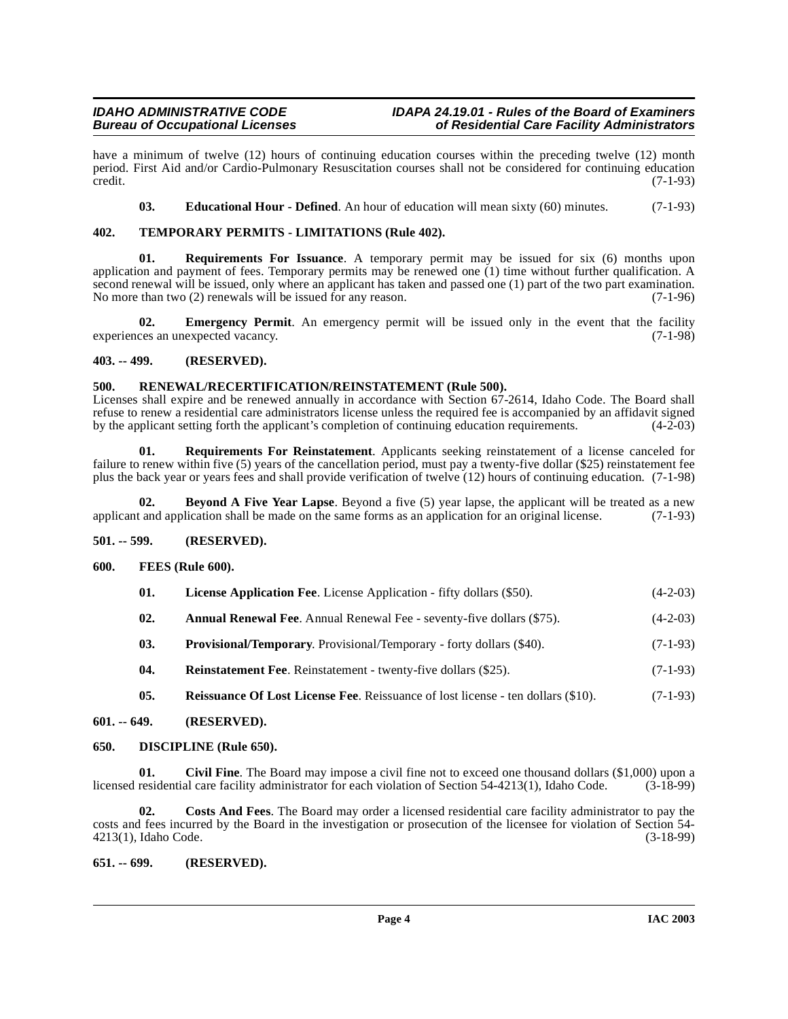have a minimum of twelve (12) hours of continuing education courses within the preceding twelve (12) month period. First Aid and/or Cardio-Pulmonary Resuscitation courses shall not be considered for continuing education  $\text{credit.}$  (7-1-93)

<span id="page-3-23"></span><span id="page-3-21"></span><span id="page-3-13"></span>**03. Educational Hour - Defined**. An hour of education will mean sixty (60) minutes. (7-1-93)

# <span id="page-3-0"></span>**402. TEMPORARY PERMITS - LIMITATIONS (Rule 402).**

**01. Requirements For Issuance**. A temporary permit may be issued for six (6) months upon application and payment of fees. Temporary permits may be renewed one (1) time without further qualification. A second renewal will be issued, only where an applicant has taken and passed one (1) part of the two part examination.<br>No more than two (2) renewals will be issued for any reason.  $(7-1-96)$ No more than two  $(2)$  renewals will be issued for any reason.

<span id="page-3-14"></span>**02.** Emergency Permit. An emergency permit will be issued only in the event that the facility experiences an unexpected vacancy. (7-1-98)

# <span id="page-3-1"></span>**403. -- 499. (RESERVED).**

### <span id="page-3-20"></span><span id="page-3-2"></span>**500. RENEWAL/RECERTIFICATION/REINSTATEMENT (Rule 500).**

Licenses shall expire and be renewed annually in accordance with Section 67-2614, Idaho Code. The Board shall refuse to renew a residential care administrators license unless the required fee is accompanied by an affidavit signed<br>by the applicant setting forth the applicant's completion of continuing education requirements. (4-2-0 by the applicant setting forth the applicant's completion of continuing education requirements.

<span id="page-3-22"></span>**01. Requirements For Reinstatement**. Applicants seeking reinstatement of a license canceled for failure to renew within five (5) years of the cancellation period, must pay a twenty-five dollar (\$25) reinstatement fee plus the back year or years fees and shall provide verification of twelve (12) hours of continuing education. (7-1-98)

<span id="page-3-9"></span>**02. Beyond A Five Year Lapse**. Beyond a five (5) year lapse, the applicant will be treated as a new t and application shall be made on the same forms as an application for an original license. (7-1-93) applicant and application shall be made on the same forms as an application for an original license.

# <span id="page-3-3"></span>**501. -- 599. (RESERVED).**

### <span id="page-3-4"></span>**600. FEES (Rule 600).**

<span id="page-3-16"></span><span id="page-3-15"></span>

| 01. | <b>License Application Fee.</b> License Application - fifty dollars (\$50). | $(4-2-03)$ |
|-----|-----------------------------------------------------------------------------|------------|
|-----|-----------------------------------------------------------------------------|------------|

- <span id="page-3-8"></span>**02.** Annual Renewal Fee. Annual Renewal Fee - seventy-five dollars (\$75). (4-2-03)
- <span id="page-3-17"></span>**03. Provisional/Temporary**. Provisional/Temporary - forty dollars (\$40). (7-1-93)
- <span id="page-3-19"></span>**04.** Reinstatement Fee. Reinstatement - twenty-five dollars (\$25). (7-1-93)
- <span id="page-3-18"></span><span id="page-3-12"></span><span id="page-3-10"></span>**05. Reissuance Of Lost License Fee**. Reissuance of lost license - ten dollars (\$10). (7-1-93)

# <span id="page-3-5"></span>**601. -- 649. (RESERVED).**

### <span id="page-3-6"></span>**650. DISCIPLINE (Rule 650).**

**01.** Civil Fine. The Board may impose a civil fine not to exceed one thousand dollars (\$1,000) upon a residential care facility administrator for each violation of Section 54-4213(1), Idaho Code. (3-18-99) licensed residential care facility administrator for each violation of Section 54-4213(1), Idaho Code.

<span id="page-3-11"></span>**02. Costs And Fees**. The Board may order a licensed residential care facility administrator to pay the costs and fees incurred by the Board in the investigation or prosecution of the licensee for violation of Section 54- 4213(1), Idaho Code.

# <span id="page-3-7"></span>**651. -- 699. (RESERVED).**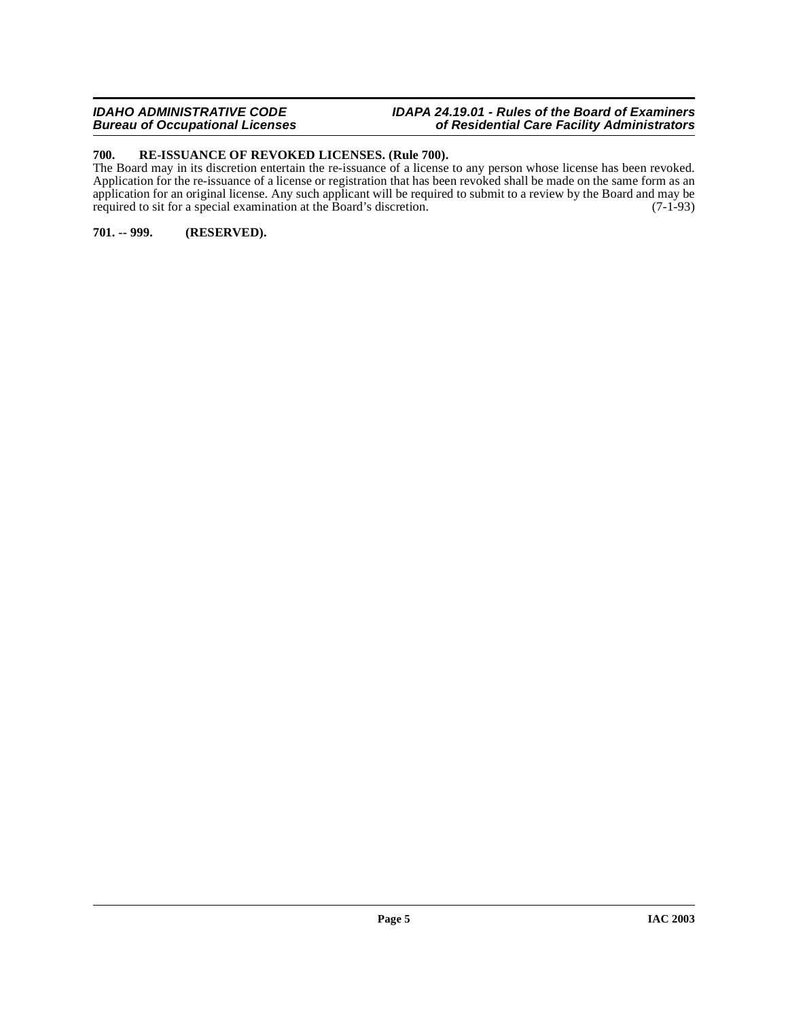## **IDAHO ADMINISTRATIVE CODE IDAPA 24.19.01 - Rules of the Board of Examiners Bureau of Occupational Licenses of Residential Care Facility Administrators**

# <span id="page-4-2"></span><span id="page-4-0"></span>**700. RE-ISSUANCE OF REVOKED LICENSES. (Rule 700).**

The Board may in its discretion entertain the re-issuance of a license to any person whose license has been revoked. Application for the re-issuance of a license or registration that has been revoked shall be made on the same form as an application for an original license. Any such applicant will be required to submit to a review by the Board and may be required to sit for a special examination at the Board's discretion. (7-1-93) required to sit for a special examination at the Board's discretion.

# <span id="page-4-1"></span>**701. -- 999. (RESERVED).**